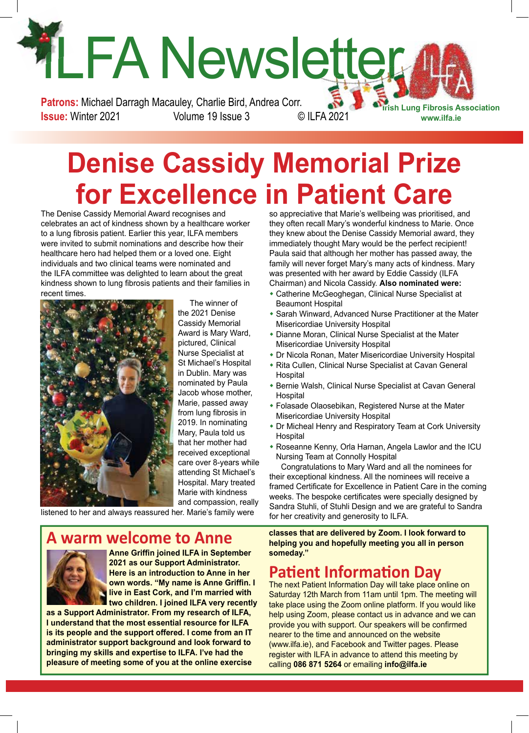# LFA Newsletter 4 **Patrons:** Michael Darragh Macauley, Charlie Bird, Andrea Corr.

**Issue:** Winter 2021 Volume 19 Issue 3 © ILFA 2021

**Irish Lung Fibrosis Association www.ilfa.ie**

# **Denise Cassidy Memorial Prize for Excellence in Patient Care**

The Denise Cassidy Memorial Award recognises and celebrates an act of kindness shown by a healthcare worker to a lung fibrosis patient. Earlier this year, ILFA members were invited to submit nominations and describe how their healthcare hero had helped them or a loved one. Eight individuals and two clinical teams were nominated and the ILFA committee was delighted to learn about the great kindness shown to lung fibrosis patients and their families in recent times.



The winner of the 2021 Denise Cassidy Memorial Award is Mary Ward, pictured, Clinical Nurse Specialist at St Michael's Hospital in Dublin. Mary was nominated by Paula Jacob whose mother, Marie, passed away from lung fibrosis in 2019. In nominating Mary, Paula told us that her mother had received exceptional care over 8-years while attending St Michael's Hospital. Mary treated Marie with kindness and compassion, really

listened to her and always reassured her. Marie's family were

#### **Warm welcome to Anne**



**Anne Griffin joined ILFA in September 2021 as our Support Administrator. Here is an introduction to Anne in her own words. "My name is Anne Griffin. I I** live in East Cork, and I'm married with **two children. I joined ILFA very recently** 

**as a Support Administrator. From my research of ILFA, I understand that the most essential resource for ILFA is its people and the support offered. I come from an IT administrator support background and look forward to bringing my skills and expertise to ILFA. I've had the pleasure of meeting some of you at the online exercise** 

so appreciative that Marie's wellbeing was prioritised, and they often recall Mary's wonderful kindness to Marie. Once they knew about the Denise Cassidy Memorial award, they immediately thought Mary would be the perfect recipient! Paula said that although her mother has passed away, the family will never forget Mary's many acts of kindness. Mary was presented with her award by Eddie Cassidy (ILFA Chairman) and Nicola Cassidy. **Also nominated were:**

- Catherine McGeoghegan, Clinical Nurse Specialist at Beaumont Hospital
- Sarah Winward, Advanced Nurse Practitioner at the Mater Misericordiae University Hospital
- Dianne Moran, Clinical Nurse Specialist at the Mater Misericordiae University Hospital
- Dr Nicola Ronan, Mater Misericordiae University Hospital
- \* Rita Cullen, Clinical Nurse Specialist at Cavan General **Hospital**
- **\* Bernie Walsh, Clinical Nurse Specialist at Cavan General** Hospital
- Folasade Olaosebikan, Registered Nurse at the Mater Misericordiae University Hospital
- Dr Micheal Henry and Respiratory Team at Cork University Hospital
- \* Roseanne Kenny, Orla Harnan, Angela Lawlor and the ICU Nursing Team at Connolly Hospital

Congratulations to Mary Ward and all the nominees for their exceptional kindness. All the nominees will receive a framed Certificate for Excellence in Patient Care in the coming weeks. The bespoke certificates were specially designed by Sandra Stuhli, of Stuhli Design and we are grateful to Sandra for her creativity and generosity to ILFA.

**classes that are delivered by Zoom. I look forward to helping you and hopefully meeting you all in person someday."**

#### **Patient Information Day**

The next Patient Information Day will take place online on Saturday 12th March from 11am until 1pm. The meeting will take place using the Zoom online platform. If you would like help using Zoom, please contact us in advance and we can provide you with support. Our speakers will be confirmed nearer to the time and announced on the website (www.ilfa.ie), and Facebook and Twitter pages. Please register with ILFA in advance to attend this meeting by calling **086 871 5264** or emailing **info@ilfa.ie**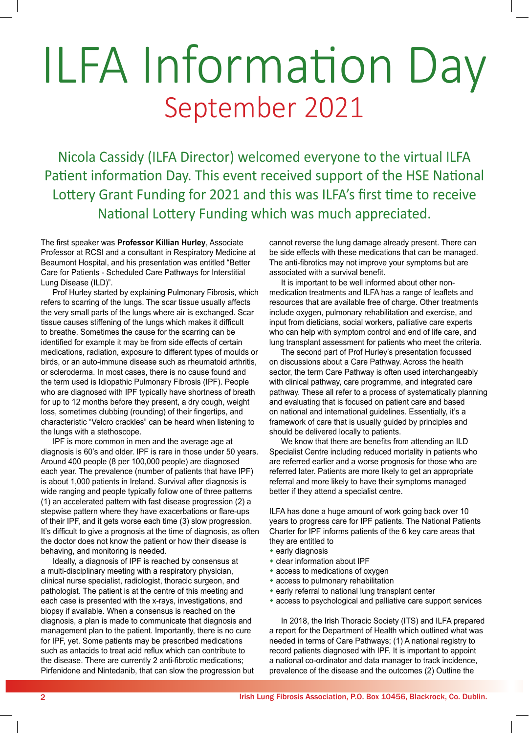# ILFA Information Day September 2021

Nicola Cassidy (ILFA Director) welcomed everyone to the virtual ILFA Patient information Day. This event received support of the HSE National Lottery Grant Funding for 2021 and this was ILFA's first time to receive National Lottery Funding which was much appreciated.

The first speaker was **Professor Killian Hurley**, Associate Professor at RCSI and a consultant in Respiratory Medicine at Beaumont Hospital, and his presentation was entitled "Better Care for Patients - Scheduled Care Pathways for Interstitial Lung Disease (ILD)".

Prof Hurley started by explaining Pulmonary Fibrosis, which refers to scarring of the lungs. The scar tissue usually affects the very small parts of the lungs where air is exchanged. Scar tissue causes stiffening of the lungs which makes it difficult to breathe. Sometimes the cause for the scarring can be identified for example it may be from side effects of certain medications, radiation, exposure to different types of moulds or birds, or an auto-immune disease such as rheumatoid arthritis, or scleroderma. In most cases, there is no cause found and the term used is Idiopathic Pulmonary Fibrosis (IPF). People who are diagnosed with IPF typically have shortness of breath for up to 12 months before they present, a dry cough, weight loss, sometimes clubbing (rounding) of their fingertips, and characteristic "Velcro crackles" can be heard when listening to the lungs with a stethoscope.

IPF is more common in men and the average age at diagnosis is 60's and older. IPF is rare in those under 50 years. Around 400 people (8 per 100,000 people) are diagnosed each year. The prevalence (number of patients that have IPF) is about 1,000 patients in Ireland. Survival after diagnosis is wide ranging and people typically follow one of three patterns (1) an accelerated pattern with fast disease progression (2) a stepwise pattern where they have exacerbations or flare-ups of their IPF, and it gets worse each time (3) slow progression. It's difficult to give a prognosis at the time of diagnosis, as often the doctor does not know the patient or how their disease is behaving, and monitoring is needed.

Ideally, a diagnosis of IPF is reached by consensus at a multi-disciplinary meeting with a respiratory physician, clinical nurse specialist, radiologist, thoracic surgeon, and pathologist. The patient is at the centre of this meeting and each case is presented with the x-rays, investigations, and biopsy if available. When a consensus is reached on the diagnosis, a plan is made to communicate that diagnosis and management plan to the patient. Importantly, there is no cure for IPF, yet. Some patients may be prescribed medications such as antacids to treat acid reflux which can contribute to the disease. There are currently 2 anti-fibrotic medications; Pirfenidone and Nintedanib, that can slow the progression but

cannot reverse the lung damage already present. There can be side effects with these medications that can be managed. The anti-fibrotics may not improve your symptoms but are associated with a survival benefit.

It is important to be well informed about other nonmedication treatments and ILFA has a range of leaflets and resources that are available free of charge. Other treatments include oxygen, pulmonary rehabilitation and exercise, and input from dieticians, social workers, palliative care experts who can help with symptom control and end of life care, and lung transplant assessment for patients who meet the criteria.

The second part of Prof Hurley's presentation focussed on discussions about a Care Pathway. Across the health sector, the term Care Pathway is often used interchangeably with clinical pathway, care programme, and integrated care pathway. These all refer to a process of systematically planning and evaluating that is focused on patient care and based on national and international guidelines. Essentially, it's a framework of care that is usually guided by principles and should be delivered locally to patients.

We know that there are benefits from attending an ILD Specialist Centre including reduced mortality in patients who are referred earlier and a worse prognosis for those who are referred later. Patients are more likely to get an appropriate referral and more likely to have their symptoms managed better if they attend a specialist centre.

ILFA has done a huge amount of work going back over 10 years to progress care for IPF patients. The National Patients Charter for IPF informs patients of the 6 key care areas that they are entitled to

- $*$  early diagnosis
- $\bullet$  clear information about IPF
- $*$  access to medications of oxygen
- $*$  access to pulmonary rehabilitation
- $\bullet$  early referral to national lung transplant center
- \* access to psychological and palliative care support services

In 2018, the Irish Thoracic Society (ITS) and ILFA prepared a report for the Department of Health which outlined what was needed in terms of Care Pathways; (1) A national registry to record patients diagnosed with IPF. It is important to appoint a national co-ordinator and data manager to track incidence, prevalence of the disease and the outcomes (2) Outline the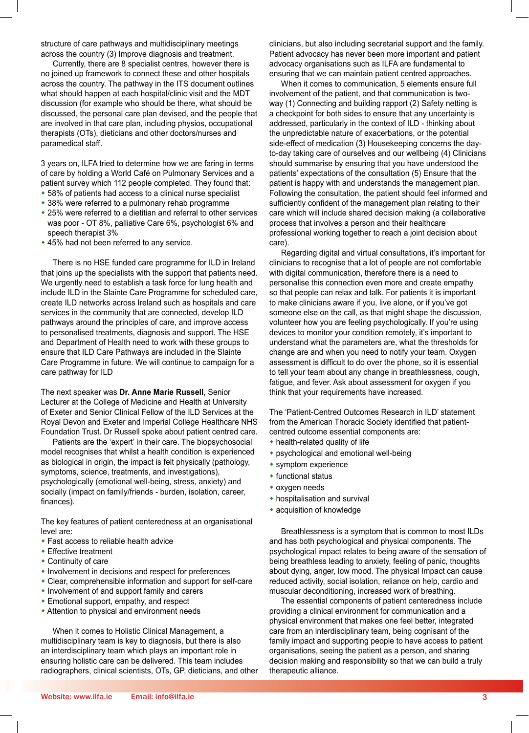structure of care pathways and multidisciplinary meetings across the country (3) Improve diagnosis and treatment.

Currently, there are 8 specialist centres, however there is no joined up framework to connect these and other hospitals across the country. The pathway in the ITS document outlines what should happen at each hospital/clinic visit and the MDT discussion (for example who should be there, what should be discussed, the personal care plan devised, and the people that are involved in that care plan, including physios, occupational therapists (OTs), dieticians and other doctors/nurses and paramedical staff.

3 years on, ILFA tried to determine how we are faring in terms of care by holding a World Café on Pulmonary Services and a patient survey which 112 people completed. They found that:

- \* 58% of patients had access to a clinical nurse specialist
- \* 38% were referred to a pulmonary rehab programme
- \* 25% were referred to a dietitian and referral to other services was poor - OT 8%, palliative Care 6%, psychologist 6% and speech therapist 3%
- $*$  45% had not been referred to any service.

There is no HSE funded care programme for ILD in Ireland that joins up the specialists with the support that patients need. We urgently need to establish a task force for lung health and include ILD in the Slainte Care Programme for scheduled care, create ILD networks across Ireland such as hospitals and care services in the community that are connected, develop ILD pathways around the principles of care, and improve access to personalised treatments, diagnosis and support. The HSE and Department of Health need to work with these groups to ensure that ILD Care Pathways are included in the Slainte Care Programme in future. We will continue to campaign for a care pathway for ILD

The next speaker was **Dr. Anne Marie Russell**, Senior Lecturer at the College of Medicine and Health at University of Exeter and Senior Clinical Fellow of the ILD Services at the Royal Devon and Exeter and Imperial College Healthcare NHS Foundation Trust. Dr Russell spoke about patient centred care.

Patients are the 'expert' in their care. The biopsychosocial model recognises that whilst a health condition is experienced as biological in origin, the impact is felt physically (pathology, symptoms, science, treatments, and investigations), psychologically (emotional well-being, stress, anxiety) and socially (impact on family/friends - burden, isolation, career, finances).

The key features of patient centeredness at an organisational level are:

- $\bullet$  Fast access to reliable health advice
- $\cdot$  Effective treatment
- $\bullet$  Continuity of care
- $*$  Involvement in decisions and respect for preferences
- $\bullet$  Clear, comprehensible information and support for self-care
- $*$  Involvement of and support family and carers
- **\* Emotional support, empathy, and respect**
- Attention to physical and environment needs

When it comes to Holistic Clinical Management, a multidisciplinary team is key to diagnosis, but there is also an interdisciplinary team which plays an important role in ensuring holistic care can be delivered. This team includes radiographers, clinical scientists, OTs, GP, dieticians, and other

clinicians, but also including secretarial support and the family. Patient advocacy has never been more important and patient advocacy organisations such as ILFA are fundamental to ensuring that we can maintain patient centred approaches.

When it comes to communication, 5 elements ensure full involvement of the patient, and that communication is twoway (1) Connecting and building rapport (2) Safety netting is a checkpoint for both sides to ensure that any uncertainty is addressed, particularly in the context of ILD - thinking about the unpredictable nature of exacerbations, or the potential side-effect of medication (3) Housekeeping concerns the dayto-day taking care of ourselves and our wellbeing (4) Clinicians should summarise by ensuring that you have understood the patients' expectations of the consultation (5) Ensure that the patient is happy with and understands the management plan. Following the consultation, the patient should feel informed and sufficiently confident of the management plan relating to their care which will include shared decision making (a collaborative process that involves a person and their healthcare professional working together to reach a joint decision about care).

Regarding digital and virtual consultations, it's important for clinicians to recognise that a lot of people are not comfortable with digital communication, therefore there is a need to personalise this connection even more and create empathy so that people can relax and talk. For patients it is important to make clinicians aware if you, live alone, or if you've got someone else on the call, as that might shape the discussion. volunteer how you are feeling psychologically. If you're using devices to monitor your condition remotely, it's important to understand what the parameters are, what the thresholds for change are and when you need to notify your team. Oxygen assessment is difficult to do over the phone, so it is essential to tell your team about any change in breathlessness, cough, fatigue, and fever. Ask about assessment for oxygen if you think that your requirements have increased.

The 'Patient-Centred Outcomes Research in ILD' statement from the American Thoracic Society identified that patientcentred outcome essential components are:

- $\bullet$  health-related quality of life
- psychological and emotional well-being
- $*$  symptom experience
- $*$  functional status
- $*$  oxygen needs
- $*$  hospitalisation and survival
- acquisition of knowledge

Breathlessness is a symptom that is common to most ILDs and has both psychological and physical components. The psychological impact relates to being aware of the sensation of being breathless leading to anxiety, feeling of panic, thoughts about dying, anger, low mood. The physical Impact can cause reduced activity, social isolation, reliance on help, cardio and muscular deconditioning, increased work of breathing.

The essential components of patient centeredness include providing a clinical environment for communication and a physical environment that makes one feel better, integrated care from an interdisciplinary team, being cognisant of the family impact and supporting people to have access to patient organisations, seeing the patient as a person, and sharing decision making and responsibility so that we can build a truly therapeutic alliance.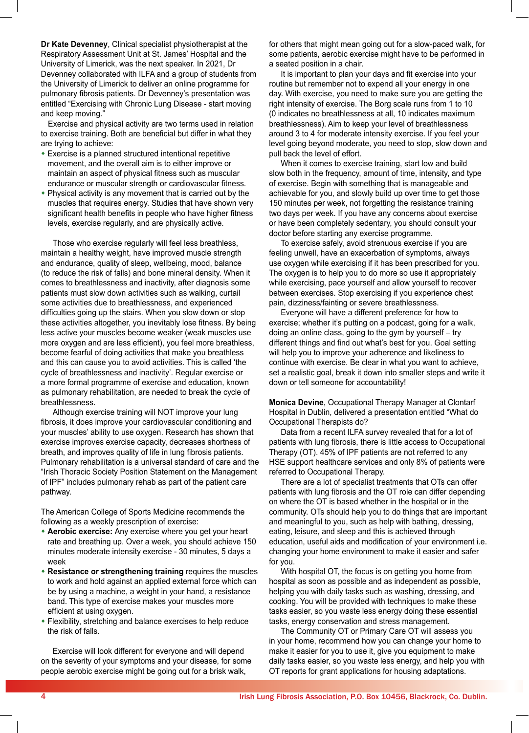**Dr Kate Devenney**, Clinical specialist physiotherapist at the Respiratory Assessment Unit at St. James' Hospital and the University of Limerick, was the next speaker. In 2021, Dr Devenney collaborated with ILFA and a group of students from the University of Limerick to deliver an online programme for pulmonary fibrosis patients. Dr Devenney's presentation was entitled "Exercising with Chronic Lung Disease - start moving and keep moving."

Exercise and physical activity are two terms used in relation to exercise training. Both are beneficial but differ in what they are trying to achieve:

- $\bullet$  Exercise is a planned structured intentional repetitive movement, and the overall aim is to either improve or maintain an aspect of physical fitness such as muscular endurance or muscular strength or cardiovascular fitness.
- $\bullet$  Physical activity is any movement that is carried out by the muscles that requires energy. Studies that have shown very significant health benefits in people who have higher fitness levels, exercise regularly, and are physically active.

Those who exercise regularly will feel less breathless, maintain a healthy weight, have improved muscle strength and endurance, quality of sleep, wellbeing, mood, balance (to reduce the risk of falls) and bone mineral density. When it comes to breathlessness and inactivity, after diagnosis some patients must slow down activities such as walking, curtail some activities due to breathlessness, and experienced difficulties going up the stairs. When you slow down or stop these activities altogether, you inevitably lose fitness. By being less active your muscles become weaker (weak muscles use more oxygen and are less efficient), you feel more breathless, become fearful of doing activities that make you breathless and this can cause you to avoid activities. This is called 'the cycle of breathlessness and inactivity'. Regular exercise or a more formal programme of exercise and education, known as pulmonary rehabilitation, are needed to break the cycle of breathlessness.

Although exercise training will NOT improve your lung fibrosis, it does improve your cardiovascular conditioning and your muscles' ability to use oxygen. Research has shown that exercise improves exercise capacity, decreases shortness of breath, and improves quality of life in lung fibrosis patients. Pulmonary rehabilitation is a universal standard of care and the "Irish Thoracic Society Position Statement on the Management of IPF" includes pulmonary rehab as part of the patient care pathway.

The American College of Sports Medicine recommends the following as a weekly prescription of exercise:

- **Aerobic exercise:** Any exercise where you get your heart rate and breathing up. Over a week, you should achieve 150 minutes moderate intensity exercise - 30 minutes, 5 days a week
- **\* Resistance or strengthening training requires the muscles** to work and hold against an applied external force which can be by using a machine, a weight in your hand, a resistance band. This type of exercise makes your muscles more efficient at using oxygen.
- w Flexibility, stretching and balance exercises to help reduce the risk of falls.

Exercise will look different for everyone and will depend on the severity of your symptoms and your disease, for some people aerobic exercise might be going out for a brisk walk,

for others that might mean going out for a slow-paced walk, for some patients, aerobic exercise might have to be performed in a seated position in a chair.

It is important to plan your days and fit exercise into your routine but remember not to expend all your energy in one day. With exercise, you need to make sure you are getting the right intensity of exercise. The Borg scale runs from 1 to 10 (0 indicates no breathlessness at all, 10 indicates maximum breathlessness). Aim to keep your level of breathlessness around 3 to 4 for moderate intensity exercise. If you feel your level going beyond moderate, you need to stop, slow down and pull back the level of effort.

When it comes to exercise training, start low and build slow both in the frequency, amount of time, intensity, and type of exercise. Begin with something that is manageable and achievable for you, and slowly build up over time to get those 150 minutes per week, not forgetting the resistance training two days per week. If you have any concerns about exercise or have been completely sedentary, you should consult your doctor before starting any exercise programme.

To exercise safely, avoid strenuous exercise if you are feeling unwell, have an exacerbation of symptoms, always use oxygen while exercising if it has been prescribed for you. The oxygen is to help you to do more so use it appropriately while exercising, pace yourself and allow yourself to recover between exercises. Stop exercising if you experience chest pain, dizziness/fainting or severe breathlessness.

Everyone will have a different preference for how to exercise; whether it's putting on a podcast, going for a walk, doing an online class, going to the gym by yourself – try different things and find out what's best for you. Goal setting will help you to improve your adherence and likeliness to continue with exercise. Be clear in what you want to achieve, set a realistic goal, break it down into smaller steps and write it down or tell someone for accountability!

**Monica Devine**, Occupational Therapy Manager at Clontarf Hospital in Dublin, delivered a presentation entitled "What do Occupational Therapists do?

Data from a recent ILFA survey revealed that for a lot of patients with lung fibrosis, there is little access to Occupational Therapy (OT). 45% of IPF patients are not referred to any HSE support healthcare services and only 8% of patients were referred to Occupational Therapy.

There are a lot of specialist treatments that OTs can offer patients with lung fibrosis and the OT role can differ depending on where the OT is based whether in the hospital or in the community. OTs should help you to do things that are important and meaningful to you, such as help with bathing, dressing, eating, leisure, and sleep and this is achieved through education, useful aids and modification of your environment i.e. changing your home environment to make it easier and safer for you.

With hospital OT, the focus is on getting you home from hospital as soon as possible and as independent as possible, helping you with daily tasks such as washing, dressing, and cooking. You will be provided with techniques to make these tasks easier, so you waste less energy doing these essential tasks, energy conservation and stress management.

The Community OT or Primary Care OT will assess you in your home, recommend how you can change your home to make it easier for you to use it, give you equipment to make daily tasks easier, so you waste less energy, and help you with OT reports for grant applications for housing adaptations.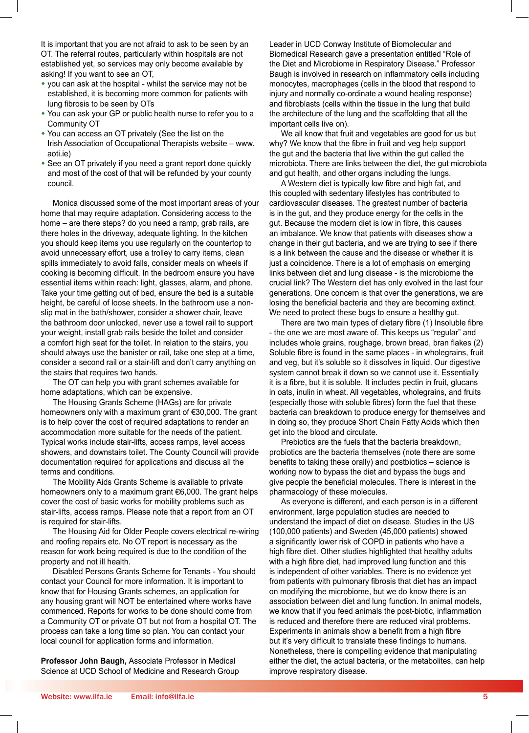It is important that you are not afraid to ask to be seen by an OT. The referral routes, particularly within hospitals are not established yet, so services may only become available by asking! If you want to see an OT,

- \* you can ask at the hospital whilst the service may not be established, it is becoming more common for patients with lung fibrosis to be seen by OTs
- You can ask your GP or public health nurse to refer you to a Community OT
- You can access an OT privately (See the list on the Irish Association of Occupational Therapists website – www. aoti.ie)
- See an OT privately if you need a grant report done quickly and most of the cost of that will be refunded by your county council.

Monica discussed some of the most important areas of your home that may require adaptation. Considering access to the home – are there steps? do you need a ramp, grab rails, are there holes in the driveway, adequate lighting. In the kitchen you should keep items you use regularly on the countertop to avoid unnecessary effort, use a trolley to carry items, clean spills immediately to avoid falls, consider meals on wheels if cooking is becoming difficult. In the bedroom ensure you have essential items within reach: light, glasses, alarm, and phone. Take your time getting out of bed, ensure the bed is a suitable height, be careful of loose sheets. In the bathroom use a nonslip mat in the bath/shower, consider a shower chair, leave the bathroom door unlocked, never use a towel rail to support your weight, install grab rails beside the toilet and consider a comfort high seat for the toilet. In relation to the stairs, you should always use the banister or rail, take one step at a time, consider a second rail or a stair-lift and don't carry anything on the stairs that requires two hands.

The OT can help you with grant schemes available for home adaptations, which can be expensive.

The Housing Grants Scheme (HAGs) are for private homeowners only with a maximum grant of €30,000. The grant is to help cover the cost of required adaptations to render an accommodation more suitable for the needs of the patient. Typical works include stair-lifts, access ramps, level access showers, and downstairs toilet. The County Council will provide documentation required for applications and discuss all the terms and conditions.

The Mobility Aids Grants Scheme is available to private homeowners only to a maximum grant €6,000. The grant helps cover the cost of basic works for mobility problems such as stair-lifts, access ramps. Please note that a report from an OT is required for stair-lifts.

The Housing Aid for Older People covers electrical re-wiring and roofing repairs etc. No OT report is necessary as the reason for work being required is due to the condition of the property and not ill health.

Disabled Persons Grants Scheme for Tenants - You should contact your Council for more information. It is important to know that for Housing Grants schemes, an application for any housing grant will NOT be entertained where works have commenced. Reports for works to be done should come from a Community OT or private OT but not from a hospital OT. The process can take a long time so plan. You can contact your local council for application forms and information.

**Professor John Baugh,** Associate Professor in Medical Science at UCD School of Medicine and Research Group Leader in UCD Conway Institute of Biomolecular and Biomedical Research gave a presentation entitled "Role of the Diet and Microbiome in Respiratory Disease." Professor Baugh is involved in research on inflammatory cells including monocytes, macrophages (cells in the blood that respond to injury and normally co-ordinate a wound healing response) and fibroblasts (cells within the tissue in the lung that build the architecture of the lung and the scaffolding that all the important cells live on).

We all know that fruit and vegetables are good for us but why? We know that the fibre in fruit and veg help support the gut and the bacteria that live within the gut called the microbiota. There are links between the diet, the gut microbiota and gut health, and other organs including the lungs.

A Western diet is typically low fibre and high fat, and this coupled with sedentary lifestyles has contributed to cardiovascular diseases. The greatest number of bacteria is in the gut, and they produce energy for the cells in the gut. Because the modern diet is low in fibre, this causes an imbalance. We know that patients with diseases show a change in their gut bacteria, and we are trying to see if there is a link between the cause and the disease or whether it is just a coincidence. There is a lot of emphasis on emerging links between diet and lung disease - is the microbiome the crucial link? The Western diet has only evolved in the last four generations. One concern is that over the generations, we are losing the beneficial bacteria and they are becoming extinct. We need to protect these bugs to ensure a healthy gut.

There are two main types of dietary fibre (1) Insoluble fibre - the one we are most aware of. This keeps us "regular" and includes whole grains, roughage, brown bread, bran flakes (2) Soluble fibre is found in the same places - in wholegrains, fruit and veg, but it's soluble so it dissolves in liquid. Our digestive system cannot break it down so we cannot use it. Essentially it is a fibre, but it is soluble. It includes pectin in fruit, glucans in oats, inulin in wheat. All vegetables, wholegrains, and fruits (especially those with soluble fibres) form the fuel that these bacteria can breakdown to produce energy for themselves and in doing so, they produce Short Chain Fatty Acids which then get into the blood and circulate.

Prebiotics are the fuels that the bacteria breakdown, probiotics are the bacteria themselves (note there are some benefits to taking these orally) and postbiotics – science is working now to bypass the diet and bypass the bugs and give people the beneficial molecules. There is interest in the pharmacology of these molecules.

As everyone is different, and each person is in a different environment, large population studies are needed to understand the impact of diet on disease. Studies in the US (100,000 patients) and Sweden (45,000 patients) showed a significantly lower risk of COPD in patients who have a high fibre diet. Other studies highlighted that healthy adults with a high fibre diet, had improved lung function and this is independent of other variables. There is no evidence yet from patients with pulmonary fibrosis that diet has an impact on modifying the microbiome, but we do know there is an association between diet and lung function. In animal models, we know that if you feed animals the post-biotic, inflammation is reduced and therefore there are reduced viral problems. Experiments in animals show a benefit from a high fibre but it's very difficult to translate these findings to humans. Nonetheless, there is compelling evidence that manipulating either the diet, the actual bacteria, or the metabolites, can help improve respiratory disease.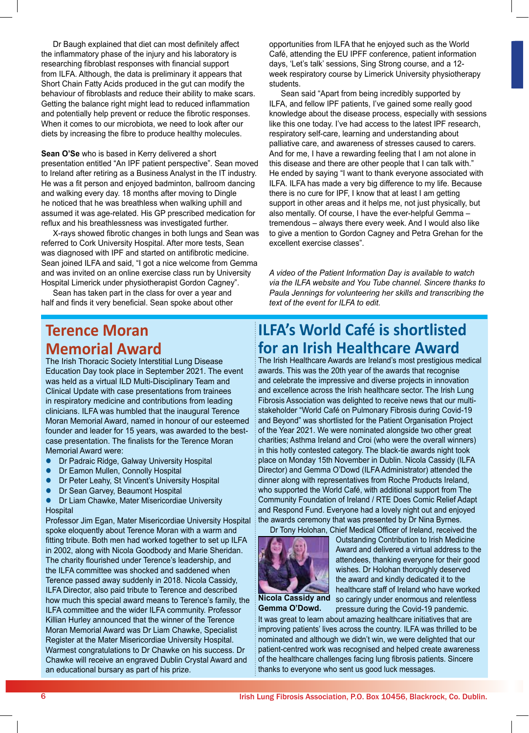Dr Baugh explained that diet can most definitely affect the inflammatory phase of the injury and his laboratory is researching fibroblast responses with financial support from ILFA. Although, the data is preliminary it appears that Short Chain Fatty Acids produced in the gut can modify the behaviour of fibroblasts and reduce their ability to make scars. Getting the balance right might lead to reduced inflammation and potentially help prevent or reduce the fibrotic responses. When it comes to our microbiota, we need to look after our diets by increasing the fibre to produce healthy molecules.

**Sean O'Se** who is based in Kerry delivered a short presentation entitled "An IPF patient perspective". Sean moved to Ireland after retiring as a Business Analyst in the IT industry. He was a fit person and enjoyed badminton, ballroom dancing and walking every day. 18 months after moving to Dingle he noticed that he was breathless when walking uphill and assumed it was age-related. His GP prescribed medication for reflux and his breathlessness was investigated further.

X-rays showed fibrotic changes in both lungs and Sean was referred to Cork University Hospital. After more tests, Sean was diagnosed with IPF and started on antifibrotic medicine. Sean joined ILFA and said, "I got a nice welcome from Gemma and was invited on an online exercise class run by University Hospital Limerick under physiotherapist Gordon Cagney".

Sean has taken part in the class for over a year and half and finds it very beneficial. Sean spoke about other

opportunities from ILFA that he enjoyed such as the World Café, attending the EU IPFF conference, patient information days, 'Let's talk' sessions, Sing Strong course, and a 12 week respiratory course by Limerick University physiotherapy students.

Sean said "Apart from being incredibly supported by ILFA, and fellow IPF patients, I've gained some really good knowledge about the disease process, especially with sessions like this one today. I've had access to the latest IPF research, respiratory self-care, learning and understanding about palliative care, and awareness of stresses caused to carers. And for me, I have a rewarding feeling that I am not alone in this disease and there are other people that I can talk with." He ended by saying "I want to thank everyone associated with ILFA. ILFA has made a very big difference to my life. Because there is no cure for IPF, I know that at least I am getting support in other areas and it helps me, not just physically, but also mentally. Of course, I have the ever-helpful Gemma – tremendous – always there every week. And I would also like to give a mention to Gordon Cagney and Petra Grehan for the excellent exercise classes".

*A video of the Patient Information Day is available to watch via the ILFA website and You Tube channel. Sincere thanks to Paula Jennings for volunteering her skills and transcribing the text of the event for ILFA to edit.*

#### **Terence Moran Memorial Award**

The Irish Thoracic Society Interstitial Lung Disease Education Day took place in September 2021. The event was held as a virtual ILD Multi-Disciplinary Team and Clinical Update with case presentations from trainees in respiratory medicine and contributions from leading clinicians. ILFA was humbled that the inaugural Terence Moran Memorial Award, named in honour of our esteemed founder and leader for 15 years, was awarded to the bestcase presentation. The finalists for the Terence Moran Memorial Award were:

- **Dr Padraic Ridge, Galway University Hospital**
- Dr Eamon Mullen, Connolly Hospital
- Dr Peter Leahy, St Vincent's University Hospital
- Dr Sean Garvey, Beaumont Hospital
- Dr Liam Chawke, Mater Misericordiae University **Hospital**

Professor Jim Egan, Mater Misericordiae University Hospital spoke eloquently about Terence Moran with a warm and fitting tribute. Both men had worked together to set up ILFA in 2002, along with Nicola Goodbody and Marie Sheridan. The charity flourished under Terence's leadership, and the ILFA committee was shocked and saddened when Terence passed away suddenly in 2018. Nicola Cassidy, ILFA Director, also paid tribute to Terence and described how much this special award means to Terence's family, the ILFA committee and the wider ILFA community. Professor Killian Hurley announced that the winner of the Terence Moran Memorial Award was Dr Liam Chawke, Specialist Register at the Mater Misericordiae University Hospital. Warmest congratulations to Dr Chawke on his success. Dr Chawke will receive an engraved Dublin Crystal Award and an educational bursary as part of his prize.

#### **ILFA's World Café is shortlisted for an Irish Healthcare Award**

The Irish Healthcare Awards are Ireland's most prestigious medical awards. This was the 20th year of the awards that recognise and celebrate the impressive and diverse projects in innovation and excellence across the Irish healthcare sector. The Irish Lung Fibrosis Association was delighted to receive news that our multistakeholder "World Café on Pulmonary Fibrosis during Covid-19 and Beyond" was shortlisted for the Patient Organisation Project of the Year 2021. We were nominated alongside two other great charities; Asthma Ireland and Croi (who were the overall winners) in this hotly contested category. The black-tie awards night took place on Monday 15th November in Dublin. Nicola Cassidy (ILFA Director) and Gemma O'Dowd (ILFA Administrator) attended the dinner along with representatives from Roche Products Ireland, who supported the World Café, with additional support from The Community Foundation of Ireland / RTE Does Comic Relief Adapt and Respond Fund. Everyone had a lovely night out and enjoyed the awards ceremony that was presented by Dr Nina Byrnes.



Dr Tony Holohan, Chief Medical Officer of Ireland, received the Outstanding Contribution to Irish Medicine Award and delivered a virtual address to the attendees, thanking everyone for their good wishes. Dr Holohan thoroughly deserved the award and kindly dedicated it to the healthcare staff of Ireland who have worked so caringly under enormous and relentless pressure during the Covid-19 pandemic.

**Nicola Cassidy and Gemma O'Dowd.**

It was great to learn about amazing healthcare initiatives that are improving patients' lives across the country. ILFA was thrilled to be nominated and although we didn't win, we were delighted that our patient-centred work was recognised and helped create awareness of the healthcare challenges facing lung fibrosis patients. Sincere thanks to everyone who sent us good luck messages.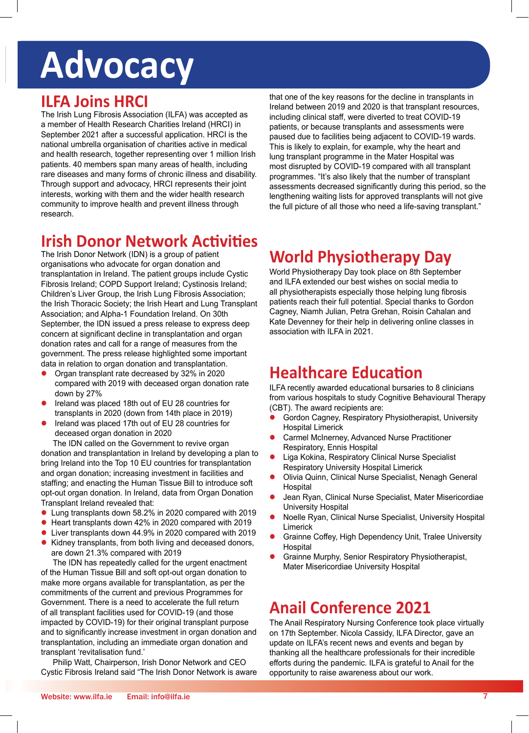# **Advocacy**

#### **ILFA Joins HRCI**

The Irish Lung Fibrosis Association (ILFA) was accepted as a member of Health Research Charities Ireland (HRCI) in September 2021 after a successful application. HRCI is the national umbrella organisation of charities active in medical and health research, together representing over 1 million Irish patients. 40 members span many areas of health, including rare diseases and many forms of chronic illness and disability. Through support and advocacy, HRCI represents their joint interests, working with them and the wider health research community to improve health and prevent illness through research.

that one of the key reasons for the decline in transplants in Ireland between 2019 and 2020 is that transplant resources, including clinical staff, were diverted to treat COVID-19 patients, or because transplants and assessments were paused due to facilities being adjacent to COVID-19 wards. This is likely to explain, for example, why the heart and lung transplant programme in the Mater Hospital was most disrupted by COVID-19 compared with all transplant programmes. "It's also likely that the number of transplant assessments decreased significantly during this period, so the lengthening waiting lists for approved transplants will not give the full picture of all those who need a life-saving transplant."

#### **Irish Donor Network Activities**

The Irish Donor Network (IDN) is a group of patient organisations who advocate for organ donation and transplantation in Ireland. The patient groups include Cystic Fibrosis Ireland; COPD Support Ireland; Cystinosis Ireland; Children's Liver Group, the Irish Lung Fibrosis Association; the Irish Thoracic Society; the Irish Heart and Lung Transplant Association; and Alpha-1 Foundation Ireland. On 30th September, the IDN issued a press release to express deep concern at significant decline in transplantation and organ donation rates and call for a range of measures from the government. The press release highlighted some important data in relation to organ donation and transplantation.

- l Organ transplant rate decreased by 32% in 2020 compared with 2019 with deceased organ donation rate down by 27%
- Ireland was placed 18th out of EU 28 countries for transplants in 2020 (down from 14th place in 2019)
- l Ireland was placed 17th out of EU 28 countries for deceased organ donation in 2020

The IDN called on the Government to revive organ donation and transplantation in Ireland by developing a plan to bring Ireland into the Top 10 EU countries for transplantation and organ donation; increasing investment in facilities and staffing; and enacting the Human Tissue Bill to introduce soft opt-out organ donation. In Ireland, data from Organ Donation Transplant Ireland revealed that:

- l Lung transplants down 58.2% in 2020 compared with 2019
- Heart transplants down 42% in 2020 compared with 2019
- l Liver transplants down 44.9% in 2020 compared with 2019 • Kidney transplants, from both living and deceased donors,
- are down 21.3% compared with 2019

The IDN has repeatedly called for the urgent enactment of the Human Tissue Bill and soft opt-out organ donation to make more organs available for transplantation, as per the commitments of the current and previous Programmes for Government. There is a need to accelerate the full return of all transplant facilities used for COVID-19 (and those impacted by COVID-19) for their original transplant purpose and to significantly increase investment in organ donation and transplantation, including an immediate organ donation and transplant 'revitalisation fund.'

Philip Watt, Chairperson, Irish Donor Network and CEO Cystic Fibrosis Ireland said "The Irish Donor Network is aware

## **World Physiotherapy Day**

World Physiotherapy Day took place on 8th September and ILFA extended our best wishes on social media to all physiotherapists especially those helping lung fibrosis patients reach their full potential. Special thanks to Gordon Cagney, Niamh Julian, Petra Grehan, Roisin Cahalan and Kate Devenney for their help in delivering online classes in association with ILFA in 2021.

### **Healthcare Education**

ILFA recently awarded educational bursaries to 8 clinicians from various hospitals to study Cognitive Behavioural Therapy (CBT). The award recipients are:

- Gordon Cagney, Respiratory Physiotherapist, University Hospital Limerick
- **Carmel McInerney, Advanced Nurse Practitioner** Respiratory, Ennis Hospital
- Liga Kokina, Respiratory Clinical Nurse Specialist Respiratory University Hospital Limerick
- Olivia Quinn, Clinical Nurse Specialist, Nenagh General **Hospital**
- l Jean Ryan, Clinical Nurse Specialist, Mater Misericordiae University Hospital
- l Noelle Ryan, Clinical Nurse Specialist, University Hospital Limerick
- Grainne Coffey, High Dependency Unit, Tralee University Hospital
- l Grainne Murphy, Senior Respiratory Physiotherapist, Mater Misericordiae University Hospital

### **Anail Conference 2021**

The Anail Respiratory Nursing Conference took place virtually on 17th September. Nicola Cassidy, ILFA Director, gave an update on ILFA's recent news and events and began by thanking all the healthcare professionals for their incredible efforts during the pandemic. ILFA is grateful to Anail for the opportunity to raise awareness about our work.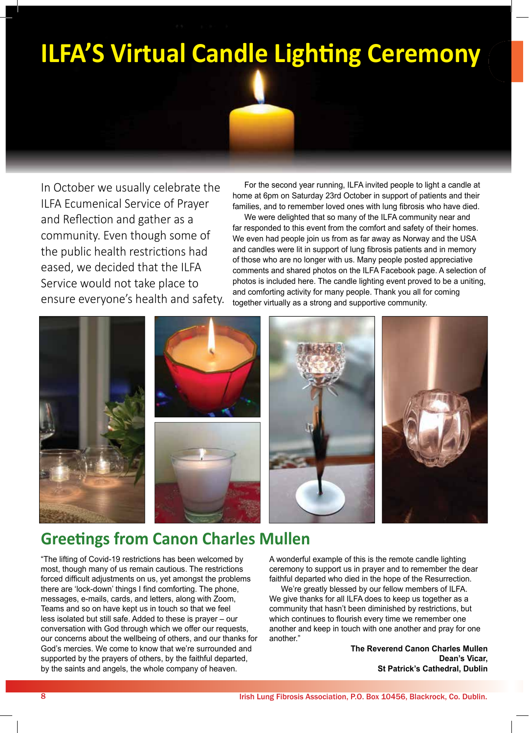# **ILFA'S Virtual Candle Lighting Ceremony**

In October we usually celebrate the ILFA Ecumenical Service of Prayer and Reflection and gather as a community. Even though some of the public health restrictions had eased, we decided that the ILFA Service would not take place to ensure everyone's health and safety.

For the second year running, ILFA invited people to light a candle at home at 6pm on Saturday 23rd October in support of patients and their families, and to remember loved ones with lung fibrosis who have died.

We were delighted that so many of the ILFA community near and far responded to this event from the comfort and safety of their homes. We even had people join us from as far away as Norway and the USA and candles were lit in support of lung fibrosis patients and in memory of those who are no longer with us. Many people posted appreciative comments and shared photos on the ILFA Facebook page. A selection of photos is included here. The candle lighting event proved to be a uniting, and comforting activity for many people. Thank you all for coming together virtually as a strong and supportive community.



### **Greetings from Canon Charles Mullen**

"The lifting of Covid-19 restrictions has been welcomed by most, though many of us remain cautious. The restrictions forced difficult adjustments on us, yet amongst the problems there are 'lock-down' things I find comforting. The phone, messages, e-mails, cards, and letters, along with Zoom, Teams and so on have kept us in touch so that we feel less isolated but still safe. Added to these is prayer – our conversation with God through which we offer our requests, our concerns about the wellbeing of others, and our thanks for God's mercies. We come to know that we're surrounded and supported by the prayers of others, by the faithful departed, by the saints and angels, the whole company of heaven.

A wonderful example of this is the remote candle lighting ceremony to support us in prayer and to remember the dear faithful departed who died in the hope of the Resurrection.

We're greatly blessed by our fellow members of ILFA. We give thanks for all ILFA does to keep us together as a community that hasn't been diminished by restrictions, but which continues to flourish every time we remember one another and keep in touch with one another and pray for one another."

> **The Reverend Canon Charles Mullen Dean's Vicar, St Patrick's Cathedral, Dublin**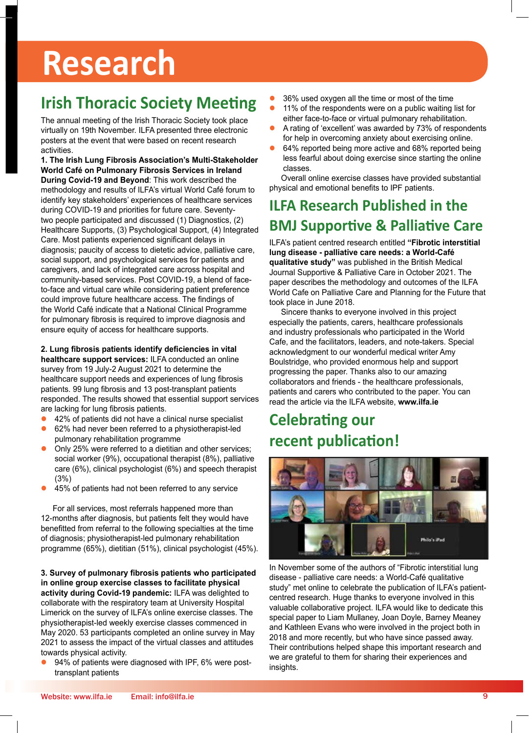# **Research**

## **Irish Thoracic Society Meeting**

The annual meeting of the Irish Thoracic Society took place virtually on 19th November. ILFA presented three electronic posters at the event that were based on recent research activities.

**1. The Irish Lung Fibrosis Association's Multi-Stakeholder World Café on Pulmonary Fibrosis Services in Ireland During Covid-19 and Beyond**: This work described the methodology and results of ILFA's virtual World Café forum to identify key stakeholders' experiences of healthcare services during COVID-19 and priorities for future care. Seventytwo people participated and discussed (1) Diagnostics, (2) Healthcare Supports, (3) Psychological Support, (4) Integrated Care. Most patients experienced significant delays in diagnosis; paucity of access to dietetic advice, palliative care, social support, and psychological services for patients and caregivers, and lack of integrated care across hospital and community-based services. Post COVID-19, a blend of faceto-face and virtual care while considering patient preference could improve future healthcare access. The findings of the World Café indicate that a National Clinical Programme for pulmonary fibrosis is required to improve diagnosis and ensure equity of access for healthcare supports.

#### **2. Lung fibrosis patients identify deficiencies in vital**

**healthcare support services:** ILFA conducted an online survey from 19 July-2 August 2021 to determine the healthcare support needs and experiences of lung fibrosis patients. 99 lung fibrosis and 13 post-transplant patients responded. The results showed that essential support services are lacking for lung fibrosis patients.

- l 42% of patients did not have a clinical nurse specialist
- 62% had never been referred to a physiotherapist-led pulmonary rehabilitation programme
- Only 25% were referred to a dietitian and other services; social worker (9%), occupational therapist (8%), palliative care (6%), clinical psychologist (6%) and speech therapist (3%)
- 45% of patients had not been referred to any service

For all services, most referrals happened more than 12-months after diagnosis, but patients felt they would have benefitted from referral to the following specialties at the time of diagnosis; physiotherapist-led pulmonary rehabilitation programme (65%), dietitian (51%), clinical psychologist (45%).

**3. Survey of pulmonary fibrosis patients who participated in online group exercise classes to facilitate physical activity during Covid-19 pandemic:** ILFA was delighted to collaborate with the respiratory team at University Hospital Limerick on the survey of ILFA's online exercise classes. The physiotherapist-led weekly exercise classes commenced in May 2020. 53 participants completed an online survey in May 2021 to assess the impact of the virtual classes and attitudes towards physical activity.

94% of patients were diagnosed with IPF, 6% were posttransplant patients

- 36% used oxygen all the time or most of the time
- 11% of the respondents were on a public waiting list for either face-to-face or virtual pulmonary rehabilitation.
- A rating of 'excellent' was awarded by 73% of respondents for help in overcoming anxiety about exercising online.
- 64% reported being more active and 68% reported being less fearful about doing exercise since starting the online classes.

Overall online exercise classes have provided substantial physical and emotional benefits to IPF patients.

#### **ILFA Research Published in the BMJ Supportive & Palliative Care**

ILFA's patient centred research entitled **"Fibrotic interstitial lung disease - palliative care needs: a World-Café qualitative study"** was published in the British Medical Journal Supportive & Palliative Care in October 2021. The paper describes the methodology and outcomes of the ILFA World Cafe on Palliative Care and Planning for the Future that took place in June 2018.

Sincere thanks to everyone involved in this project especially the patients, carers, healthcare professionals and industry professionals who participated in the World Cafe, and the facilitators, leaders, and note-takers. Special acknowledgment to our wonderful medical writer Amy Boulstridge, who provided enormous help and support progressing the paper. Thanks also to our amazing collaborators and friends - the healthcare professionals, patients and carers who contributed to the paper. You can read the article via the ILFA website, **www.ilfa.ie**

### **Celebrating our recent publication!**



In November some of the authors of "Fibrotic interstitial lung disease - palliative care needs: a World-Café qualitative study" met online to celebrate the publication of ILFA's patientcentred research. Huge thanks to everyone involved in this valuable collaborative project. ILFA would like to dedicate this special paper to Liam Mullaney, Joan Doyle, Barney Meaney and Kathleen Evans who were involved in the project both in 2018 and more recently, but who have since passed away. Their contributions helped shape this important research and we are grateful to them for sharing their experiences and insights.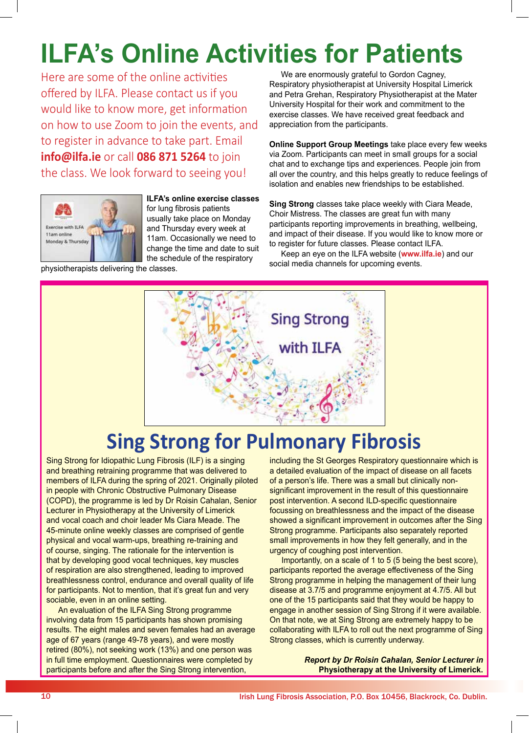# **ILFA's Online Activities for Patients**

Here are some of the online activities offered by ILFA. Please contact us if you would like to know more, get information on how to use Zoom to join the events, and to register in advance to take part. Email **info@ilfa.ie** or call **086 871 5264** to join the class. We look forward to seeing you!



**ILFA's online exercise classes** for lung fibrosis patients usually take place on Monday and Thursday every week at 11am. Occasionally we need to change the time and date to suit the schedule of the respiratory

physiotherapists delivering the classes.

We are enormously grateful to Gordon Cagney, Respiratory physiotherapist at University Hospital Limerick and Petra Grehan, Respiratory Physiotherapist at the Mater University Hospital for their work and commitment to the exercise classes. We have received great feedback and appreciation from the participants.

**Online Support Group Meetings** take place every few weeks via Zoom. Participants can meet in small groups for a social chat and to exchange tips and experiences. People join from all over the country, and this helps greatly to reduce feelings of isolation and enables new friendships to be established.

**Sing Strong** classes take place weekly with Ciara Meade, Choir Mistress. The classes are great fun with many participants reporting improvements in breathing, wellbeing, and impact of their disease. If you would like to know more or to register for future classes. Please contact ILFA.

Keep an eye on the ILFA website (**www.ilfa.ie**) and our social media channels for upcoming events.



# **Sing Strong for Pulmonary Fibrosis**

Sing Strong for Idiopathic Lung Fibrosis (ILF) is a singing and breathing retraining programme that was delivered to members of ILFA during the spring of 2021. Originally piloted in people with Chronic Obstructive Pulmonary Disease (COPD), the programme is led by Dr Roisin Cahalan, Senior Lecturer in Physiotherapy at the University of Limerick and vocal coach and choir leader Ms Ciara Meade. The 45-minute online weekly classes are comprised of gentle physical and vocal warm-ups, breathing re-training and of course, singing. The rationale for the intervention is that by developing good vocal techniques, key muscles of respiration are also strengthened, leading to improved breathlessness control, endurance and overall quality of life for participants. Not to mention, that it's great fun and very sociable, even in an online setting.

An evaluation of the ILFA Sing Strong programme involving data from 15 participants has shown promising results. The eight males and seven females had an average age of 67 years (range 49-78 years), and were mostly retired (80%), not seeking work (13%) and one person was in full time employment. Questionnaires were completed by participants before and after the Sing Strong intervention,

including the St Georges Respiratory questionnaire which is a detailed evaluation of the impact of disease on all facets of a person's life. There was a small but clinically nonsignificant improvement in the result of this questionnaire post intervention. A second ILD-specific questionnaire focussing on breathlessness and the impact of the disease showed a significant improvement in outcomes after the Sing Strong programme. Participants also separately reported small improvements in how they felt generally, and in the urgency of coughing post intervention.

Importantly, on a scale of 1 to 5 (5 being the best score), participants reported the average effectiveness of the Sing Strong programme in helping the management of their lung disease at 3.7/5 and programme enjoyment at 4.7/5. All but one of the 15 participants said that they would be happy to engage in another session of Sing Strong if it were available. On that note, we at Sing Strong are extremely happy to be collaborating with ILFA to roll out the next programme of Sing Strong classes, which is currently underway.

> *Report by Dr Roisin Cahalan, Senior Lecturer in*  **Physiotherapy at the University of Limerick.**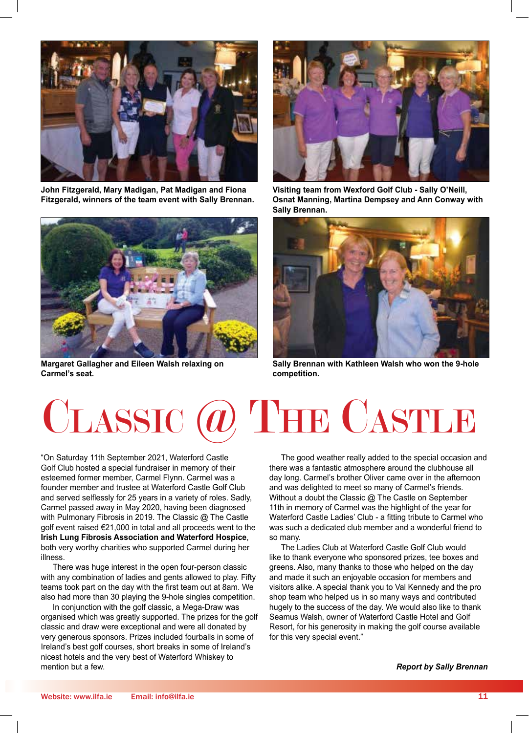

**John Fitzgerald, Mary Madigan, Pat Madigan and Fiona Fitzgerald, winners of the team event with Sally Brennan.**



**Margaret Gallagher and Eileen Walsh relaxing on Carmel's seat.**



**Visiting team from Wexford Golf Club - Sally O'Neill, Osnat Manning, Martina Dempsey and Ann Conway with Sally Brennan.**



**Sally Brennan with Kathleen Walsh who won the 9-hole competition.**

# Classic @ The Castle

"On Saturday 11th September 2021, Waterford Castle Golf Club hosted a special fundraiser in memory of their esteemed former member, Carmel Flynn. Carmel was a founder member and trustee at Waterford Castle Golf Club and served selflessly for 25 years in a variety of roles. Sadly, Carmel passed away in May 2020, having been diagnosed with Pulmonary Fibrosis in 2019. The Classic @ The Castle golf event raised €21,000 in total and all proceeds went to the **Irish Lung Fibrosis Association and Waterford Hospice**, both very worthy charities who supported Carmel during her illness.

There was huge interest in the open four-person classic with any combination of ladies and gents allowed to play. Fifty teams took part on the day with the first team out at 8am. We also had more than 30 playing the 9-hole singles competition.

In conjunction with the golf classic, a Mega-Draw was organised which was greatly supported. The prizes for the golf classic and draw were exceptional and were all donated by very generous sponsors. Prizes included fourballs in some of Ireland's best golf courses, short breaks in some of Ireland's nicest hotels and the very best of Waterford Whiskey to mention but a few.

The good weather really added to the special occasion and there was a fantastic atmosphere around the clubhouse all day long. Carmel's brother Oliver came over in the afternoon and was delighted to meet so many of Carmel's friends. Without a doubt the Classic @ The Castle on September 11th in memory of Carmel was the highlight of the year for Waterford Castle Ladies' Club - a fitting tribute to Carmel who was such a dedicated club member and a wonderful friend to so many.

The Ladies Club at Waterford Castle Golf Club would like to thank everyone who sponsored prizes, tee boxes and greens. Also, many thanks to those who helped on the day and made it such an enjoyable occasion for members and visitors alike. A special thank you to Val Kennedy and the pro shop team who helped us in so many ways and contributed hugely to the success of the day. We would also like to thank Seamus Walsh, owner of Waterford Castle Hotel and Golf Resort, for his generosity in making the golf course available for this very special event."

*Report by Sally Brennan*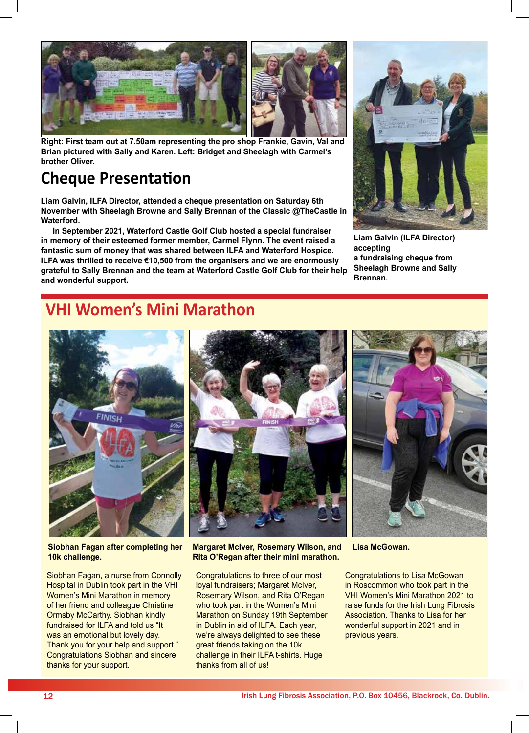

**Right: First team out at 7.50am representing the pro shop Frankie, Gavin, Val and Brian pictured with Sally and Karen. Left: Bridget and Sheelagh with Carmel's brother Oliver.**

#### **Cheque Presentation**

**Liam Galvin, ILFA Director, attended a cheque presentation on Saturday 6th November with Sheelagh Browne and Sally Brennan of the Classic @TheCastle in Waterford.** 

**In September 2021, Waterford Castle Golf Club hosted a special fundraiser in memory of their esteemed former member, Carmel Flynn. The event raised a fantastic sum of money that was shared between ILFA and Waterford Hospice. ILFA was thrilled to receive €10,500 from the organisers and we are enormously grateful to Sally Brennan and the team at Waterford Castle Golf Club for their help and wonderful support.** 



**Liam Galvin (ILFA Director) accepting a fundraising cheque from Sheelagh Browne and Sally Brennan.**

#### **VHI Women's Mini Marathon**



**Siobhan Fagan after completing her 10k challenge.**

Siobhan Fagan, a nurse from Connolly Hospital in Dublin took part in the VHI Women's Mini Marathon in memory of her friend and colleague Christine Ormsby McCarthy. Siobhan kindly fundraised for ILFA and told us "It was an emotional but lovely day. Thank you for your help and support." Congratulations Siobhan and sincere thanks for your support.



**Margaret McIver, Rosemary Wilson, and Lisa McGowan. Rita O'Regan after their mini marathon.**

Congratulations to three of our most loyal fundraisers; Margaret McIver, Rosemary Wilson, and Rita O'Regan who took part in the Women's Mini Marathon on Sunday 19th September in Dublin in aid of ILFA. Each year, we're always delighted to see these great friends taking on the 10k challenge in their ILFA t-shirts. Huge thanks from all of us!



Congratulations to Lisa McGowan in Roscommon who took part in the VHI Women's Mini Marathon 2021 to raise funds for the Irish Lung Fibrosis Association. Thanks to Lisa for her wonderful support in 2021 and in previous years.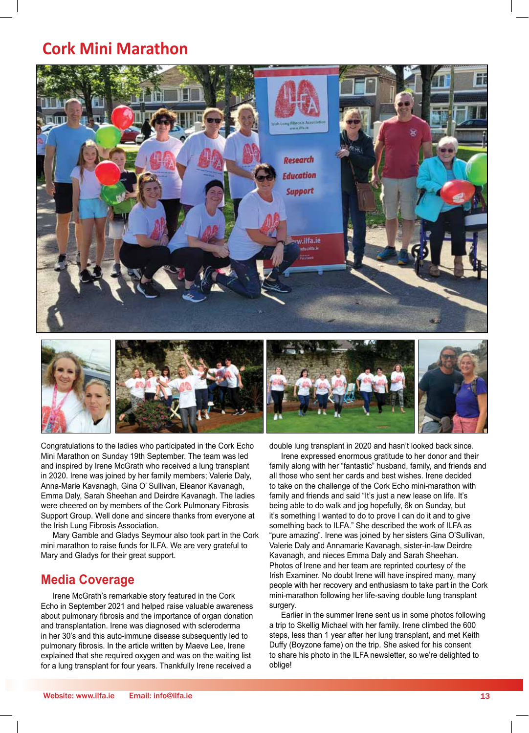#### **Cork Mini Marathon**



Congratulations to the ladies who participated in the Cork Echo Mini Marathon on Sunday 19th September. The team was led and inspired by Irene McGrath who received a lung transplant in 2020. Irene was joined by her family members; Valerie Daly, Anna-Marie Kavanagh, Gina O' Sullivan, Eleanor Kavanagh, Emma Daly, Sarah Sheehan and Deirdre Kavanagh. The ladies were cheered on by members of the Cork Pulmonary Fibrosis Support Group. Well done and sincere thanks from everyone at the Irish Lung Fibrosis Association.

Mary Gamble and Gladys Seymour also took part in the Cork mini marathon to raise funds for ILFA. We are very grateful to Mary and Gladys for their great support.

#### **Media Coverage**

Irene McGrath's remarkable story featured in the Cork Echo in September 2021 and helped raise valuable awareness about pulmonary fibrosis and the importance of organ donation and transplantation. Irene was diagnosed with scleroderma in her 30's and this auto-immune disease subsequently led to pulmonary fibrosis. In the article written by Maeve Lee, Irene explained that she required oxygen and was on the waiting list for a lung transplant for four years. Thankfully Irene received a

double lung transplant in 2020 and hasn't looked back since.

Irene expressed enormous gratitude to her donor and their family along with her "fantastic" husband, family, and friends and all those who sent her cards and best wishes. Irene decided to take on the challenge of the Cork Echo mini-marathon with family and friends and said "It's just a new lease on life. It's being able to do walk and jog hopefully, 6k on Sunday, but it's something I wanted to do to prove I can do it and to give something back to ILFA." She described the work of ILFA as "pure amazing". Irene was joined by her sisters Gina O'Sullivan, Valerie Daly and Annamarie Kavanagh, sister-in-law Deirdre Kavanagh, and nieces Emma Daly and Sarah Sheehan. Photos of Irene and her team are reprinted courtesy of the Irish Examiner. No doubt Irene will have inspired many, many people with her recovery and enthusiasm to take part in the Cork mini-marathon following her life-saving double lung transplant surgery.

Earlier in the summer Irene sent us in some photos following a trip to Skellig Michael with her family. Irene climbed the 600 steps, less than 1 year after her lung transplant, and met Keith Duffy (Boyzone fame) on the trip. She asked for his consent to share his photo in the ILFA newsletter, so we're delighted to oblige!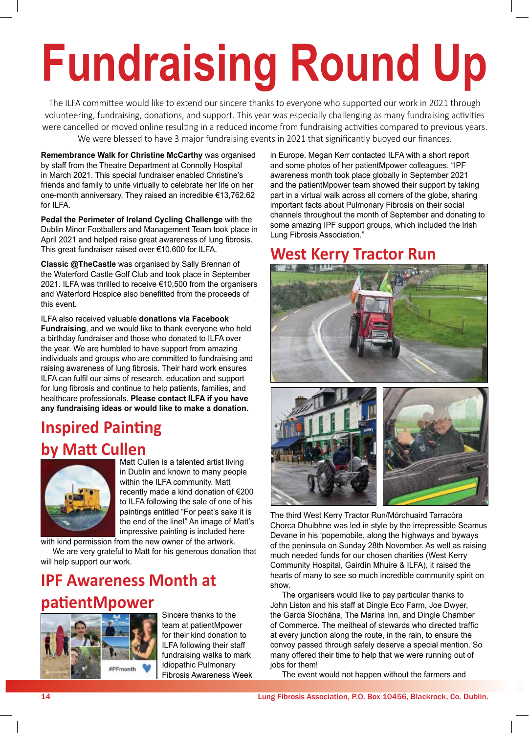# **Fundraising Round Up**

The ILFA committee would like to extend our sincere thanks to everyone who supported our work in 2021 through volunteering, fundraising, donations, and support. This year was especially challenging as many fundraising activities were cancelled or moved online resulting in a reduced income from fundraising activities compared to previous years. We were blessed to have 3 major fundraising events in 2021 that significantly buoyed our finances.

**Remembrance Walk for Christine McCarthy** was organised by staff from the Theatre Department at Connolly Hospital in March 2021. This special fundraiser enabled Christine's friends and family to unite virtually to celebrate her life on her one-month anniversary. They raised an incredible €13,762.62 for ILFA.

**Pedal the Perimeter of Ireland Cycling Challenge** with the Dublin Minor Footballers and Management Team took place in April 2021 and helped raise great awareness of lung fibrosis. This great fundraiser raised over €10,600 for ILFA.

**Classic @TheCastle** was organised by Sally Brennan of the Waterford Castle Golf Club and took place in September 2021. ILFA was thrilled to receive €10,500 from the organisers and Waterford Hospice also benefitted from the proceeds of this event.

ILFA also received valuable **donations via Facebook Fundraising**, and we would like to thank everyone who held a birthday fundraiser and those who donated to ILFA over the year. We are humbled to have support from amazing individuals and groups who are committed to fundraising and raising awareness of lung fibrosis. Their hard work ensures ILFA can fulfil our aims of research, education and support for lung fibrosis and continue to help patients, families, and healthcare professionals. **Please contact ILFA if you have any fundraising ideas or would like to make a donation.** 

### **Inspired Painting by Matt Cullen**



Matt Cullen is a talented artist living in Dublin and known to many people within the ILFA community. Matt recently made a kind donation of €200 to ILFA following the sale of one of his paintings entitled "For peat's sake it is the end of the line!" An image of Matt's impressive painting is included here

with kind permission from the new owner of the artwork. We are very grateful to Matt for his generous donation that will help support our work.

## **IPF Awareness Month at patientMpower**



Sincere thanks to the team at patientMpower for their kind donation to ILFA following their staff fundraising walks to mark Idiopathic Pulmonary Fibrosis Awareness Week in Europe. Megan Kerr contacted ILFA with a short report and some photos of her patientMpower colleagues. "IPF awareness month took place globally in September 2021 and the patientMpower team showed their support by taking part in a virtual walk across all corners of the globe, sharing important facts about Pulmonary Fibrosis on their social channels throughout the month of September and donating to some amazing IPF support groups, which included the Irish Lung Fibrosis Association."

## **West Kerry Tractor Run**





The third West Kerry Tractor Run/Mórchuaird Tarracóra Chorca Dhuibhne was led in style by the irrepressible Seamus Devane in his 'popemobile, along the highways and byways of the peninsula on Sunday 28th November. As well as raising much needed funds for our chosen charities (West Kerry Community Hospital, Gairdín Mhuire & ILFA), it raised the hearts of many to see so much incredible community spirit on show.

The organisers would like to pay particular thanks to John Liston and his staff at Dingle Eco Farm, Joe Dwyer, the Garda Síochána, The Marina Inn, and Dingle Chamber of Commerce. The meitheal of stewards who directed traffic at every junction along the route, in the rain, to ensure the convoy passed through safely deserve a special mention. So many offered their time to help that we were running out of jobs for them!

The event would not happen without the farmers and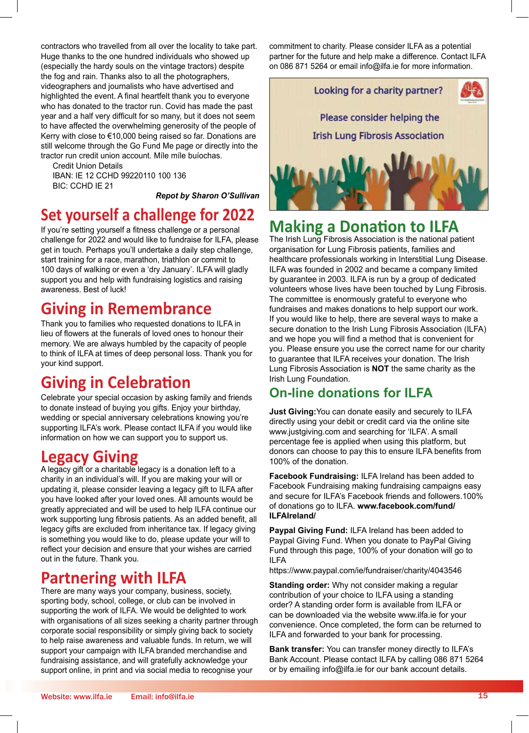contractors who travelled from all over the locality to take part.<br>Huge thanks to the one hundred individuals who showed up<br>(especially the hardy souls on the vintage tractors) despite<br>the fog and rain. Thanks also to all Huge thanks to the one hundred individuals who showed up (especially the hardy souls on the vintage tractors) despite the fog and rain. Thanks also to all the photographers, videographers and journalists who have advertised and highlighted the event. A final heartfelt thank you to everyone who has donated to the tractor run. Covid has made the past year and a half very difficult for so many, but it does not seem to have affected the overwhelming generosity of the people of Kerry with close to €10,000 being raised so far. Donations are still welcome through the Go Fund Me page or directly into the tractor run credit union account. Míle míle buíochas.

> Credit Union Details IBAN: IE 12 CCHD 99220110 100 136 BIC: CCHD IE 21

*Repot by Sharon O'Sullivan*

#### **Set yourself a challenge for 2022**

If you're setting yourself a fitness challenge or a personal challenge for 2022 and would like to fundraise for ILFA, please get in touch. Perhaps you'll undertake a daily step challenge, start training for a race, marathon, triathlon or commit to 100 days of walking or even a 'dry January'. ILFA will gladly support you and help with fundraising logistics and raising awareness. Best of luck!

#### **Giving in Remembrance**

Thank you to families who requested donations to ILFA in lieu of flowers at the funerals of loved ones to honour their memory. We are always humbled by the capacity of people to think of ILFA at times of deep personal loss. Thank you for your kind support.

#### **Giving in Celebration**

Celebrate your special occasion by asking family and friends to donate instead of buying you gifts. Enjoy your birthday, wedding or special anniversary celebrations knowing you're supporting ILFA's work. Please contact ILFA if you would like information on how we can support you to support us.

#### **Legacy Giving**

A legacy gift or a charitable legacy is a donation left to a charity in an individual's will. If you are making your will or updating it, please consider leaving a legacy gift to ILFA after you have looked after your loved ones. All amounts would be greatly appreciated and will be used to help ILFA continue our work supporting lung fibrosis patients. As an added benefit, all legacy gifts are excluded from inheritance tax. If legacy giving is something you would like to do, please update your will to reflect your decision and ensure that your wishes are carried out in the future. Thank you.

#### **Partnering with ILFA**

There are many ways your company, business, society, sporting body, school, college, or club can be involved in supporting the work of ILFA. We would be delighted to work with organisations of all sizes seeking a charity partner through corporate social responsibility or simply giving back to society to help raise awareness and valuable funds. In return, we will support your campaign with ILFA branded merchandise and fundraising assistance, and will gratefully acknowledge your support online, in print and via social media to recognise your

commitment to charity. Please consider ILFA as a potential partner for the future and help make a difference. Contact ILFA on 086 871 5264 or email info@ilfa.ie for more information.



## **Making a Donation to ILFA**

The Irish Lung Fibrosis Association is the national patient organisation for Lung Fibrosis patients, families and healthcare professionals working in Interstitial Lung Disease. ILFA was founded in 2002 and became a company limited by guarantee in 2003. ILFA is run by a group of dedicated volunteers whose lives have been touched by Lung Fibrosis. The committee is enormously grateful to everyone who fundraises and makes donations to help support our work. If you would like to help, there are several ways to make a secure donation to the Irish Lung Fibrosis Association (ILFA) and we hope you will find a method that is convenient for you. Please ensure you use the correct name for our charity to guarantee that ILFA receives your donation. The Irish Lung Fibrosis Association is **NOT** the same charity as the Irish Lung Foundation.

#### **On-line donations for ILFA**

**Just Giving:**You can donate easily and securely to ILFA directly using your debit or credit card via the online site www.justgiving.com and searching for 'ILFA'. A small percentage fee is applied when using this platform, but donors can choose to pay this to ensure ILFA benefits from 100% of the donation.

**Facebook Fundraising:** ILFA Ireland has been added to Facebook Fundraising making fundraising campaigns easy and secure for ILFA's Facebook friends and followers.100% of donations go to ILFA. **www.facebook.com/fund/ ILFAIreland/**

**Paypal Giving Fund:** ILFA Ireland has been added to Paypal Giving Fund. When you donate to PayPal Giving Fund through this page, 100% of your donation will go to ILFA

https://www.paypal.com/ie/fundraiser/charity/4043546

**Standing order:** Why not consider making a regular contribution of your choice to ILFA using a standing order? A standing order form is available from ILFA or can be downloaded via the website www.ilfa.ie for your convenience. Once completed, the form can be returned to ILFA and forwarded to your bank for processing.

**Bank transfer:** You can transfer money directly to ILFA's Bank Account. Please contact ILFA by calling 086 871 5264 or by emailing info@ilfa.ie for our bank account details.